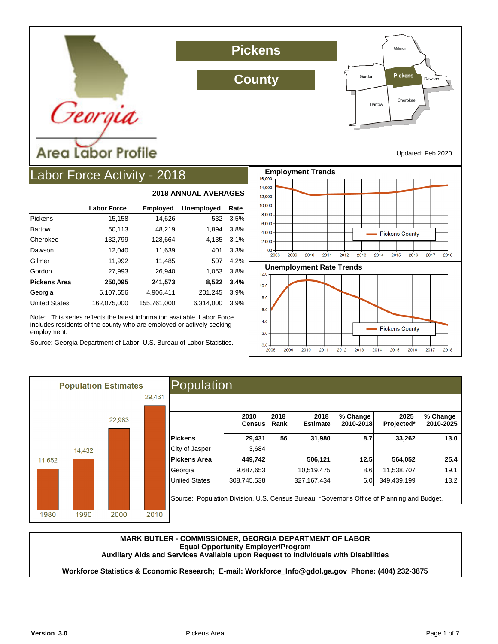

**Pickens**

**County**



Updated: Feb 2020

## Labor Force Activity - 2018

|                      |                    |                 | <b>2018 ANNUAL AVERAGES</b> |      |
|----------------------|--------------------|-----------------|-----------------------------|------|
|                      | <b>Labor Force</b> | <b>Employed</b> | <b>Unemployed</b>           | Rate |
| Pickens              | 15,158             | 14,626          | 532                         | 3.5% |
| <b>Bartow</b>        | 50,113             | 48,219          | 1,894                       | 3.8% |
| Cherokee             | 132,799            | 128,664         | 4,135                       | 3.1% |
| Dawson               | 12.040             | 11,639          | 401                         | 3.3% |
| Gilmer               | 11,992             | 11,485          | 507                         | 4.2% |
| Gordon               | 27,993             | 26,940          | 1.053                       | 3.8% |
| <b>Pickens Area</b>  | 250,095            | 241,573         | 8,522                       | 3.4% |
| Georgia              | 5,107,656          | 4,906,411       | 201,245                     | 3.9% |
| <b>United States</b> | 162.075.000        | 155,761,000     | 6.314.000                   | 3.9% |

Note: This series reflects the latest information available. Labor Force includes residents of the county who are employed or actively seeking employment.

Source: Georgia Department of Labor; U.S. Bureau of Labor Statistics.





|                      | 2010<br>Censusl | 2018<br>Rank | 2018<br><b>Estimate</b> | % Change<br>2010-2018 | 2025<br>Projected* | % Change<br>2010-2025 |
|----------------------|-----------------|--------------|-------------------------|-----------------------|--------------------|-----------------------|
| <b>Pickens</b>       | 29,431          | 56           | 31,980                  | 8.7                   | 33,262             | 13.0                  |
| City of Jasper       | 3,684           |              |                         |                       |                    |                       |
| <b>Pickens Area</b>  | 449,742         |              | 506,121                 | 12.5                  | 564,052            | 25.4                  |
| Georgia              | 9,687,653       |              | 10,519,475              | 8.6                   | 11,538,707         | 19.1                  |
| <b>United States</b> | 308,745,538     |              | 327, 167, 434           | 6.0                   | 349,439,199        | 13.2                  |

#### **MARK BUTLER - COMMISSIONER, GEORGIA DEPARTMENT OF LABOR Equal Opportunity Employer/Program Auxillary Aids and Services Available upon Request to Individuals with Disabilities**

**Workforce Statistics & Economic Research; E-mail: Workforce\_Info@gdol.ga.gov Phone: (404) 232-3875**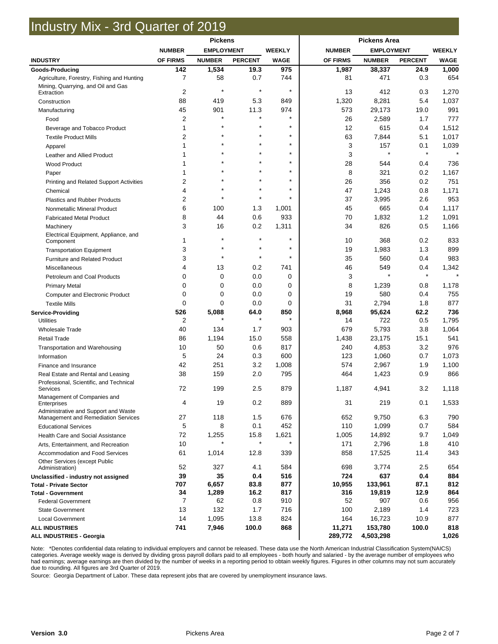## Industry Mix - 3rd Quarter of 2019

|                                                        | <b>Pickens</b>      |                   |                 |                  | <b>Pickens Area</b> |                   |                |                |
|--------------------------------------------------------|---------------------|-------------------|-----------------|------------------|---------------------|-------------------|----------------|----------------|
|                                                        | <b>NUMBER</b>       | <b>EMPLOYMENT</b> |                 | <b>WEEKLY</b>    | <b>NUMBER</b>       | <b>EMPLOYMENT</b> |                | <b>WEEKLY</b>  |
| <b>INDUSTRY</b>                                        | OF FIRMS            | <b>NUMBER</b>     | <b>PERCENT</b>  | <b>WAGE</b>      | OF FIRMS            | <b>NUMBER</b>     | <b>PERCENT</b> | <b>WAGE</b>    |
| Goods-Producing                                        | 142                 | 1,534             | 19.3            | 975              | 1,987               | 38,337            | 24.9           | 1,000          |
| Agriculture, Forestry, Fishing and Hunting             | 7                   | 58                | 0.7             | 744              | 81                  | 471               | 0.3            | 654            |
| Mining, Quarrying, and Oil and Gas                     |                     | $\star$           | $\star$         | $\star$          |                     |                   |                |                |
| Extraction                                             | $\overline{2}$      |                   |                 |                  | 13                  | 412               | 0.3            | 1,270          |
| Construction                                           | 88                  | 419               | 5.3             | 849              | 1,320               | 8,281             | 5.4            | 1,037          |
| Manufacturing                                          | 45                  | 901               | 11.3            | 974<br>$\star$   | 573                 | 29,173            | 19.0           | 991            |
| Food                                                   | $\overline{2}$<br>1 |                   | ÷               | $\star$          | 26<br>12            | 2,589             | 1.7            | 777            |
| Beverage and Tobacco Product                           | $\overline{2}$      |                   |                 | $\star$          | 63                  | 615<br>7,844      | 0.4<br>5.1     | 1,512<br>1,017 |
| <b>Textile Product Mills</b>                           | 1                   |                   |                 | $\star$          | 3                   | 157               | 0.1            | 1,039          |
| Apparel                                                | 1                   |                   | $\star$         | $\star$          | 3                   | $\star$           | $^\star$       |                |
| Leather and Allied Product                             |                     |                   |                 | $\star$          | 28                  | 544               | 0.4            | 736            |
| <b>Wood Product</b>                                    |                     |                   |                 | $\star$          | 8                   | 321               | 0.2            | 1,167          |
| Paper                                                  | $\overline{2}$      |                   |                 | $\star$          | 26                  | 356               | 0.2            | 751            |
| Printing and Related Support Activities                | 4                   |                   |                 | $\star$          | 47                  | 1,243             | 0.8            | 1,171          |
| Chemical<br><b>Plastics and Rubber Products</b>        | $\overline{2}$      | $\star$           | $\star$         | $\star$          | 37                  | 3,995             | 2.6            | 953            |
|                                                        | 6                   | 100               | 1.3             | 1,001            | 45                  | 665               | 0.4            | 1,117          |
| Nonmetallic Mineral Product                            | 8                   | 44                | 0.6             | 933              | 70                  | 1,832             | 1.2            | 1,091          |
| <b>Fabricated Metal Product</b>                        | 3                   | 16                | 0.2             | 1,311            | 34                  | 826               | 0.5            | 1,166          |
| Machinery<br>Electrical Equipment, Appliance, and      |                     |                   |                 |                  |                     |                   |                |                |
| Component                                              | 1                   |                   | $\star$         | $\star$          | 10                  | 368               | 0.2            | 833            |
| <b>Transportation Equipment</b>                        | 3                   |                   | $\star$         | $\star$          | 19                  | 1,983             | 1.3            | 899            |
| Furniture and Related Product                          | 3                   |                   | $\star$         | $\star$          | 35                  | 560               | 0.4            | 983            |
| Miscellaneous                                          | 4                   | 13                | 0.2             | 741              | 46                  | 549               | 0.4            | 1,342          |
| Petroleum and Coal Products                            | $\mathbf 0$         | 0                 | 0.0             | 0                | 3                   | $\star$           | $^\star$       |                |
| <b>Primary Metal</b>                                   | $\Omega$            | 0                 | 0.0             | 0                | 8                   | 1,239             | 0.8            | 1,178          |
| <b>Computer and Electronic Product</b>                 | $\mathbf 0$         | 0                 | 0.0             | 0                | 19                  | 580               | 0.4            | 755            |
| <b>Textile Mills</b>                                   | $\Omega$            | 0                 | 0.0             | 0                | 31                  | 2,794             | 1.8            | 877            |
| <b>Service-Providing</b>                               | 526                 | 5,088             | 64.0            | 850              | 8,968               | 95,624            | 62.2           | 736            |
| <b>Utilities</b>                                       | 2                   |                   |                 |                  | 14                  | 722               | 0.5            | 1,795          |
| <b>Wholesale Trade</b>                                 | 40                  | 134               | 1.7             | 903              | 679                 | 5,793             | 3.8            | 1,064          |
| <b>Retail Trade</b>                                    | 86                  | 1,194             | 15.0            | 558              | 1,438               | 23,175            | 15.1           | 541            |
| Transportation and Warehousing                         | 10                  | 50                | 0.6             | 817              | 240                 | 4,853             | 3.2            | 976            |
| Information                                            | 5                   | 24                | 0.3             | 600              | 123                 | 1,060             | 0.7            | 1,073          |
| Finance and Insurance                                  | 42                  | 251               | 3.2             | 1,008            | 574                 | 2,967             | 1.9            | 1,100          |
| Real Estate and Rental and Leasing                     | 38                  | 159               | 2.0             | 795              | 464                 | 1,423             | 0.9            | 866            |
| Professional, Scientific, and Technical<br>Services    | 72                  | 199               | 2.5             | 879              | 1,187               | 4,941             | 3.2            | 1,118          |
| Management of Companies and<br>Enterprises             | 4                   | 19                | 0.2             | 889              | 31                  | 219               | 0.1            | 1,533          |
| Administrative and Support and Waste                   |                     |                   |                 |                  |                     |                   |                |                |
| Management and Remediation Services                    | 27                  | 118               | 1.5             | 676              | 652                 | 9,750             | 6.3            | 790            |
| <b>Educational Services</b>                            | 5                   | 8                 | 0.1             | 452              | 110                 | 1,099             | 0.7            | 584            |
| Health Care and Social Assistance                      | 72                  | 1,255             | 15.8<br>$\star$ | 1,621<br>$\star$ | 1,005               | 14,892            | 9.7            | 1,049          |
| Arts, Entertainment, and Recreation                    | 10                  |                   |                 |                  | 171                 | 2,796             | 1.8            | 410            |
| Accommodation and Food Services                        | 61                  | 1,014             | 12.8            | 339              | 858                 | 17,525            | 11.4           | 343            |
| Other Services (except Public<br>Administration)       | 52                  | 327               | 4.1             | 584              | 698                 | 3,774             | 2.5            | 654            |
| Unclassified - industry not assigned                   | 39                  | 35                | 0.4             | 516              | 724                 | 637               | 0.4            | 884            |
| <b>Total - Private Sector</b>                          | 707                 | 6,657             | 83.8            | 877              | 10,955              | 133,961           | 87.1           | 812            |
| <b>Total - Government</b><br><b>Federal Government</b> | 34<br>7             | 1,289<br>62       | 16.2<br>0.8     | 817<br>910       | 316<br>52           | 19,819<br>907     | 12.9<br>0.6    | 864<br>956     |
| <b>State Government</b>                                | 13                  | 132               | 1.7             | 716              | 100                 | 2,189             | 1.4            | 723            |
| <b>Local Government</b>                                | 14                  | 1,095             | 13.8            | 824              | 164                 | 16,723            | 10.9           | 877            |
| <b>ALL INDUSTRIES</b>                                  | 741                 | 7,946             | 100.0           | 868              | 11,271              | 153,780           | 100.0          | 818            |
| <b>ALL INDUSTRIES - Georgia</b>                        |                     |                   |                 |                  | 289,772             | 4,503,298         |                | 1,026          |

Note: \*Denotes confidential data relating to individual employers and cannot be released. These data use the North American Industrial Classification System(NAICS) categories. Average weekly wage is derived by dividing gross payroll dollars paid to all employees - both hourly and salaried - by the average number of employees who had earnings; average earnings are then divided by the number of weeks in a reporting period to obtain weekly figures. Figures in other columns may not sum accurately due to rounding. All figures are 3rd Quarter of 2019.

Source: Georgia Department of Labor. These data represent jobs that are covered by unemployment insurance laws.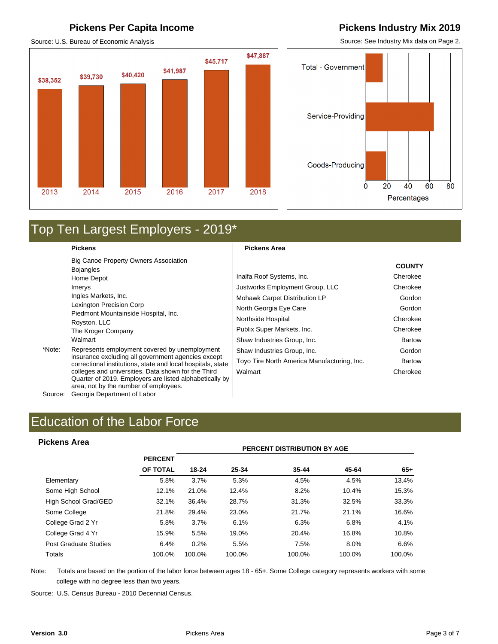## **Pickens Per Capita Income Pickens Industry Mix 2019**

Source: U.S. Bureau of Economic Analysis



Source: See Industry Mix data on Page 2.



## Top Ten Largest Employers - 2019\*

#### **Pickens**

Big Canoe Property Owners Association Bojangles Home Depot Imerys Ingles Markets, Inc. Lexington Precision Corp Piedmont Mountainside Hospital, Inc. Royston, LLC The Kroger Company Walmart

\*Note: Represents employment covered by unemployment insurance excluding all government agencies except correctional institutions, state and local hospitals, state colleges and universities. Data shown for the Third Quarter of 2019. Employers are listed alphabetically by area, not by the number of employees.

Source: Georgia Department of Labor

### **Pickens Area**

|                                             | <b>COUNTY</b> |
|---------------------------------------------|---------------|
| Inalfa Roof Systems, Inc.                   | Cherokee      |
| Justworks Employment Group, LLC             | Cherokee      |
| Mohawk Carpet Distribution LP               | Gordon        |
| North Georgia Eye Care                      | Gordon        |
| Northside Hospital                          | Cherokee      |
| Publix Super Markets, Inc.                  | Cherokee      |
| Shaw Industries Group, Inc.                 | <b>Bartow</b> |
| Shaw Industries Group, Inc.                 | Gordon        |
| Toyo Tire North America Manufacturing, Inc. | <b>Bartow</b> |
| Walmart                                     | Cherokee      |

# Education of the Labor Force<br>Pickens Area<br>PERCENT DISTRIBUTION BY AGE

#### **Pickens Area**

|                       |                 | <b>PERCENT DISTRIBUTION BY AGE</b> |        |           |        |        |  |  |  |  |  |
|-----------------------|-----------------|------------------------------------|--------|-----------|--------|--------|--|--|--|--|--|
|                       | <b>PERCENT</b>  |                                    |        |           |        |        |  |  |  |  |  |
|                       | <b>OF TOTAL</b> | $18 - 24$                          | 25-34  | $35 - 44$ | 45-64  | $65+$  |  |  |  |  |  |
| Elementary            | 5.8%            | 3.7%                               | 5.3%   | 4.5%      | 4.5%   | 13.4%  |  |  |  |  |  |
| Some High School      | 12.1%           | 21.0%                              | 12.4%  | 8.2%      | 10.4%  | 15.3%  |  |  |  |  |  |
| High School Grad/GED  | 32.1%           | 36.4%                              | 28.7%  | 31.3%     | 32.5%  | 33.3%  |  |  |  |  |  |
| Some College          | 21.8%           | 29.4%                              | 23.0%  | 21.7%     | 21.1%  | 16.6%  |  |  |  |  |  |
| College Grad 2 Yr     | 5.8%            | 3.7%                               | 6.1%   | 6.3%      | 6.8%   | 4.1%   |  |  |  |  |  |
| College Grad 4 Yr     | 15.9%           | 5.5%                               | 19.0%  | 20.4%     | 16.8%  | 10.8%  |  |  |  |  |  |
| Post Graduate Studies | 6.4%            | 0.2%                               | 5.5%   | 7.5%      | 8.0%   | 6.6%   |  |  |  |  |  |
| Totals                | 100.0%          | 100.0%                             | 100.0% | 100.0%    | 100.0% | 100.0% |  |  |  |  |  |

Note: Totals are based on the portion of the labor force between ages 18 - 65+. Some College category represents workers with some college with no degree less than two years.

Source: U.S. Census Bureau - 2010 Decennial Census.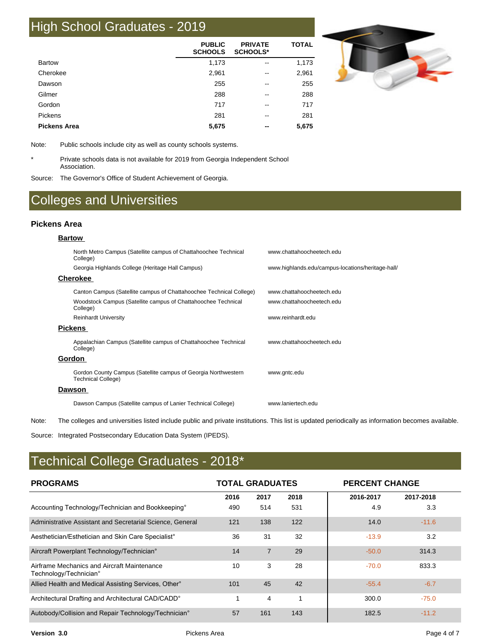## High School Graduates - 2019

|                     | <b>PUBLIC</b><br><b>SCHOOLS</b> | <b>PRIVATE</b><br><b>SCHOOLS*</b> | <b>TOTAL</b> |
|---------------------|---------------------------------|-----------------------------------|--------------|
| <b>Bartow</b>       | 1,173                           | --                                | 1,173        |
| Cherokee            | 2,961                           | $\overline{\phantom{m}}$          | 2,961        |
| Dawson              | 255                             | --                                | 255          |
| Gilmer              | 288                             | $\overline{\phantom{m}}$          | 288          |
| Gordon              | 717                             | --                                | 717          |
| Pickens             | 281                             | $\overline{\phantom{m}}$          | 281          |
| <b>Pickens Area</b> | 5,675                           | $- -$                             | 5,675        |



Note: Public schools include city as well as county schools systems.

Private schools data is not available for 2019 from Georgia Independent School Association.

Source: The Governor's Office of Student Achievement of Georgia.

## Colleges and Universities

#### **Pickens Area**

\*

#### **Bartow**

| North Metro Campus (Satellite campus of Chattahoochee Technical<br>College)                 | www.chattahoocheetech.edu                         |
|---------------------------------------------------------------------------------------------|---------------------------------------------------|
| Georgia Highlands College (Heritage Hall Campus)                                            | www.highlands.edu/campus-locations/heritage-hall/ |
| <b>Cherokee</b>                                                                             |                                                   |
| Canton Campus (Satellite campus of Chattahoochee Technical College)                         | www.chattahoocheetech.edu                         |
| Woodstock Campus (Satellite campus of Chattahoochee Technical<br>College)                   | www.chattahoocheetech.edu                         |
| <b>Reinhardt University</b>                                                                 | www.reinhardt.edu                                 |
| <b>Pickens</b>                                                                              |                                                   |
| Appalachian Campus (Satellite campus of Chattahoochee Technical<br>College)                 | www.chattahoocheetech.edu                         |
| Gordon                                                                                      |                                                   |
| Gordon County Campus (Satellite campus of Georgia Northwestern<br><b>Technical College)</b> | www.gntc.edu                                      |
| Dawson                                                                                      |                                                   |
| Dawson Campus (Satellite campus of Lanier Technical College)                                | www laniertech edu                                |
|                                                                                             |                                                   |

Note: The colleges and universities listed include public and private institutions. This list is updated periodically as information becomes available.

Source: Integrated Postsecondary Education Data System (IPEDS).

## Technical College Graduates - 2018\*

| <b>PROGRAMS</b>                                                       | <b>TOTAL GRADUATES</b> |                |      | <b>PERCENT CHANGE</b> |           |  |
|-----------------------------------------------------------------------|------------------------|----------------|------|-----------------------|-----------|--|
|                                                                       | 2016                   | 2017           | 2018 | 2016-2017             | 2017-2018 |  |
| Accounting Technology/Technician and Bookkeeping <sup>o</sup>         | 490                    | 514            | 531  | 4.9                   | 3.3       |  |
| Administrative Assistant and Secretarial Science, General             | 121                    | 138            | 122  | 14.0                  | $-11.6$   |  |
| Aesthetician/Esthetician and Skin Care Specialist°                    | 36                     | 31             | 32   | $-13.9$               | 3.2       |  |
| Aircraft Powerplant Technology/Technician°                            | 14                     | $\overline{7}$ | 29   | $-50.0$               | 314.3     |  |
| Airframe Mechanics and Aircraft Maintenance<br>Technology/Technician° | 10                     | 3              | 28   | $-70.0$               | 833.3     |  |
| Allied Health and Medical Assisting Services, Other <sup>®</sup>      | 101                    | 45             | 42   | $-55.4$               | $-6.7$    |  |
| Architectural Drafting and Architectural CAD/CADD°                    |                        | 4              |      | 300.0                 | $-75.0$   |  |
| Autobody/Collision and Repair Technology/Technician <sup>°</sup>      | 57                     | 161            | 143  | 182.5                 | $-11.2$   |  |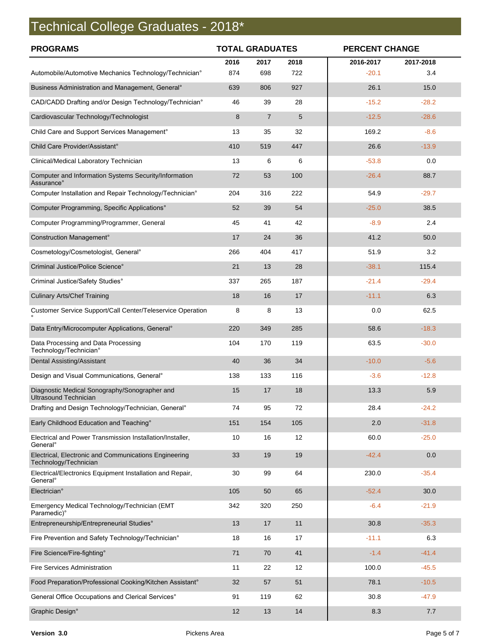# Technical College Graduates - 2018\*

| <b>PROGRAMS</b>                                                                   | <b>TOTAL GRADUATES</b> |                | <b>PERCENT CHANGE</b> |           |           |
|-----------------------------------------------------------------------------------|------------------------|----------------|-----------------------|-----------|-----------|
|                                                                                   | 2016                   | 2017           | 2018                  | 2016-2017 | 2017-2018 |
| Automobile/Automotive Mechanics Technology/Technician°                            | 874                    | 698            | 722                   | $-20.1$   | 3.4       |
| Business Administration and Management, General <sup>o</sup>                      | 639                    | 806            | 927                   | 26.1      | 15.0      |
| CAD/CADD Drafting and/or Design Technology/Technician°                            | 46                     | 39             | 28                    | $-15.2$   | $-28.2$   |
| Cardiovascular Technology/Technologist                                            | 8                      | $\overline{7}$ | 5                     | $-12.5$   | $-28.6$   |
| Child Care and Support Services Management <sup>o</sup>                           | 13                     | 35             | 32                    | 169.2     | $-8.6$    |
| Child Care Provider/Assistant°                                                    | 410                    | 519            | 447                   | 26.6      | $-13.9$   |
| Clinical/Medical Laboratory Technician                                            | 13                     | 6              | 6                     | $-53.8$   | 0.0       |
| Computer and Information Systems Security/Information<br>Assurance°               | 72                     | 53             | 100                   | $-26.4$   | 88.7      |
| Computer Installation and Repair Technology/Technician°                           | 204                    | 316            | 222                   | 54.9      | $-29.7$   |
| Computer Programming, Specific Applications°                                      | 52                     | 39             | 54                    | $-25.0$   | 38.5      |
| Computer Programming/Programmer, General                                          | 45                     | 41             | 42                    | $-8.9$    | 2.4       |
| Construction Management°                                                          | 17                     | 24             | 36                    | 41.2      | 50.0      |
| Cosmetology/Cosmetologist, General <sup>o</sup>                                   | 266                    | 404            | 417                   | 51.9      | 3.2       |
| Criminal Justice/Police Science°                                                  | 21                     | 13             | 28                    | $-38.1$   | 115.4     |
| Criminal Justice/Safety Studies°                                                  | 337                    | 265            | 187                   | $-21.4$   | $-29.4$   |
| <b>Culinary Arts/Chef Training</b>                                                | 18                     | 16             | 17                    | $-11.1$   | 6.3       |
| Customer Service Support/Call Center/Teleservice Operation                        | 8                      | 8              | 13                    | 0.0       | 62.5      |
| Data Entry/Microcomputer Applications, General <sup>o</sup>                       | 220                    | 349            | 285                   | 58.6      | $-18.3$   |
| Data Processing and Data Processing<br>Technology/Technician°                     | 104                    | 170            | 119                   | 63.5      | $-30.0$   |
| Dental Assisting/Assistant                                                        | 40                     | 36             | 34                    | $-10.0$   | $-5.6$    |
| Design and Visual Communications, General <sup>o</sup>                            | 138                    | 133            | 116                   | $-3.6$    | $-12.8$   |
| Diagnostic Medical Sonography/Sonographer and<br><b>Ultrasound Technician</b>     | 15                     | 17             | 18                    | 13.3      | 5.9       |
| Drafting and Design Technology/Technician, General°                               | 74                     | 95             | 72                    | 28.4      | $-24.2$   |
| Early Childhood Education and Teaching°                                           | 151                    | 154            | 105                   | 2.0       | $-31.8$   |
| Electrical and Power Transmission Installation/Installer,<br>General <sup>°</sup> | 10                     | 16             | 12                    | 60.0      | $-25.0$   |
| Electrical, Electronic and Communications Engineering<br>Technology/Technician    | 33                     | 19             | 19                    | $-42.4$   | 0.0       |
| Electrical/Electronics Equipment Installation and Repair,<br>General <sup>o</sup> | 30                     | 99             | 64                    | 230.0     | $-35.4$   |
| Electrician°                                                                      | 105                    | 50             | 65                    | $-52.4$   | 30.0      |
| Emergency Medical Technology/Technician (EMT<br>Paramedic)°                       | 342                    | 320            | 250                   | $-6.4$    | $-21.9$   |
| Entrepreneurship/Entrepreneurial Studies°                                         | 13                     | 17             | 11                    | 30.8      | $-35.3$   |
| Fire Prevention and Safety Technology/Technician°                                 | 18                     | 16             | 17                    | $-11.1$   | 6.3       |
| Fire Science/Fire-fighting°                                                       | 71                     | 70             | 41                    | $-1.4$    | $-41.4$   |
| Fire Services Administration                                                      | 11                     | 22             | 12                    | 100.0     | $-45.5$   |
| Food Preparation/Professional Cooking/Kitchen Assistant°                          | 32                     | 57             | 51                    | 78.1      | $-10.5$   |
| General Office Occupations and Clerical Services°                                 | 91                     | 119            | 62                    | 30.8      | $-47.9$   |
| Graphic Design°                                                                   | 12                     | 13             | 14                    | 8.3       | 7.7       |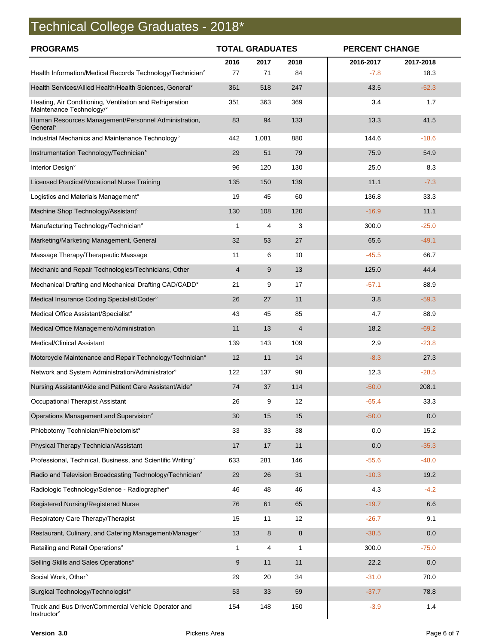# Technical College Graduates - 2018\*

| <b>PROGRAMS</b>                                                                      | <b>TOTAL GRADUATES</b> |       |                | <b>PERCENT CHANGE</b> |           |
|--------------------------------------------------------------------------------------|------------------------|-------|----------------|-----------------------|-----------|
|                                                                                      | 2016                   | 2017  | 2018           | 2016-2017             | 2017-2018 |
| Health Information/Medical Records Technology/Technician°                            | 77                     | 71    | 84             | $-7.8$                | 18.3      |
| Health Services/Allied Health/Health Sciences, General°                              | 361                    | 518   | 247            | 43.5                  | $-52.3$   |
| Heating, Air Conditioning, Ventilation and Refrigeration<br>Maintenance Technology/° | 351                    | 363   | 369            | 3.4                   | 1.7       |
| Human Resources Management/Personnel Administration,<br>General <sup>°</sup>         | 83                     | 94    | 133            | 13.3                  | 41.5      |
| Industrial Mechanics and Maintenance Technology°                                     | 442                    | 1,081 | 880            | 144.6                 | $-18.6$   |
| Instrumentation Technology/Technician°                                               | 29                     | 51    | 79             | 75.9                  | 54.9      |
| Interior Design°                                                                     | 96                     | 120   | 130            | 25.0                  | 8.3       |
| Licensed Practical/Vocational Nurse Training                                         | 135                    | 150   | 139            | 11.1                  | $-7.3$    |
| Logistics and Materials Management°                                                  | 19                     | 45    | 60             | 136.8                 | 33.3      |
| Machine Shop Technology/Assistant°                                                   | 130                    | 108   | 120            | $-16.9$               | 11.1      |
| Manufacturing Technology/Technician°                                                 | 1                      | 4     | 3              | 300.0                 | $-25.0$   |
| Marketing/Marketing Management, General                                              | 32                     | 53    | 27             | 65.6                  | $-49.1$   |
| Massage Therapy/Therapeutic Massage                                                  | 11                     | 6     | 10             | $-45.5$               | 66.7      |
| Mechanic and Repair Technologies/Technicians, Other                                  | 4                      | 9     | 13             | 125.0                 | 44.4      |
| Mechanical Drafting and Mechanical Drafting CAD/CADD°                                | 21                     | 9     | 17             | $-57.1$               | 88.9      |
| Medical Insurance Coding Specialist/Coder°                                           | 26                     | 27    | 11             | 3.8                   | $-59.3$   |
| Medical Office Assistant/Specialist°                                                 | 43                     | 45    | 85             | 4.7                   | 88.9      |
| Medical Office Management/Administration                                             | 11                     | 13    | $\overline{4}$ | 18.2                  | $-69.2$   |
| <b>Medical/Clinical Assistant</b>                                                    | 139                    | 143   | 109            | 2.9                   | $-23.8$   |
| Motorcycle Maintenance and Repair Technology/Technician°                             | 12                     | 11    | 14             | $-8.3$                | 27.3      |
| Network and System Administration/Administrator°                                     | 122                    | 137   | 98             | 12.3                  | $-28.5$   |
| Nursing Assistant/Aide and Patient Care Assistant/Aide°                              | 74                     | 37    | 114            | $-50.0$               | 208.1     |
| Occupational Therapist Assistant                                                     | 26                     | 9     | 12             | $-65.4$               | 33.3      |
| Operations Management and Supervision°                                               | 30                     | 15    | 15             | $-50.0$               | 0.0       |
| Phlebotomy Technician/Phlebotomist°                                                  | 33                     | 33    | 38             | 0.0                   | 15.2      |
| Physical Therapy Technician/Assistant                                                | 17                     | 17    | 11             | 0.0                   | $-35.3$   |
| Professional, Technical, Business, and Scientific Writing°                           | 633                    | 281   | 146            | $-55.6$               | $-48.0$   |
| Radio and Television Broadcasting Technology/Technician°                             | 29                     | 26    | 31             | $-10.3$               | 19.2      |
| Radiologic Technology/Science - Radiographer°                                        | 46                     | 48    | 46             | 4.3                   | $-4.2$    |
| Registered Nursing/Registered Nurse                                                  | 76                     | 61    | 65             | $-19.7$               | 6.6       |
| Respiratory Care Therapy/Therapist                                                   | 15                     | 11    | 12             | $-26.7$               | 9.1       |
| Restaurant, Culinary, and Catering Management/Manager°                               | 13                     | 8     | 8              | $-38.5$               | 0.0       |
| Retailing and Retail Operations°                                                     | 1                      | 4     | $\mathbf{1}$   | 300.0                 | $-75.0$   |
| Selling Skills and Sales Operations°                                                 | 9                      | 11    | 11             | 22.2                  | 0.0       |
| Social Work, Other°                                                                  | 29                     | 20    | 34             | $-31.0$               | 70.0      |
| Surgical Technology/Technologist°                                                    | 53                     | 33    | 59             | $-37.7$               | 78.8      |
| Truck and Bus Driver/Commercial Vehicle Operator and<br><b>Instructor</b> °          | 154                    | 148   | 150            | $-3.9$                | 1.4       |